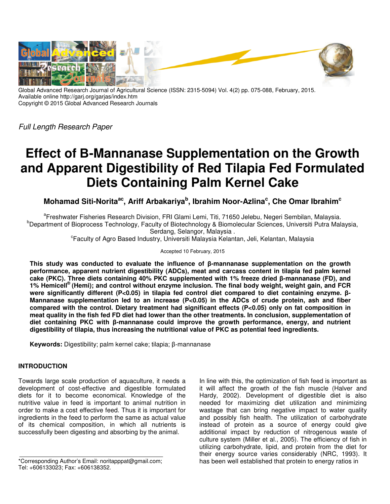

Global Advanced Research Journal of Agricultural Science (ISSN: 2315-5094) Vol. 4(2) pp. 075-088, February, 2015. Available online http://garj.org/garjas/index.htm Copyright © 2015 Global Advanced Research Journals

Full Length Research Paper

# **Effect of Β-Mannanase Supplementation on the Growth and Apparent Digestibility of Red Tilapia Fed Formulated Diets Containing Palm Kernel Cake**

**Mohamad Siti-Noritaac, Ariff Arbakariya<sup>b</sup> , Ibrahim Noor-Azlina<sup>c</sup> , Che Omar Ibrahim<sup>c</sup>**

<sup>a</sup>Freshwater Fisheries Research Division, FRI Glami Lemi, Titi, 71650 Jelebu, Negeri Sembilan, Malaysia. <sup>b</sup>Department of Bioprocess Technology, Faculty of Biotechnology & Biomolecular Sciences, Universiti Putra Malaysia, Serdang, Selangor, Malaysia .

c Faculty of Agro Based Industry, Universiti Malaysia Kelantan, Jeli, Kelantan, Malaysia

Accepted 10 February, 2015

**This study was conducted to evaluate the influence of β-mannanase supplementation on the growth performance, apparent nutrient digestibility (ADCs), meat and carcass content in tilapia fed palm kernel cake (PKC). Three diets containing 40% PKC supplemented with 1% freeze dried β-mannanase (FD), and 1% Hemicell® (Hemi); and control without enzyme inclusion. The final body weight, weight gain, and FCR were significantly different (P<0.05) in tilapia fed control diet compared to diet containing enzyme. β-Mannanase supplementation led to an increase (P<0.05) in the ADCs of crude protein, ash and fiber compared with the control. Dietary treatment had significant effects (P<0.05) only on fat composition in meat quality in the fish fed FD diet had lower than the other treatments. In conclusion, supplementation of diet containing PKC with β-mannanase could improve the growth performance, energy, and nutrient digestibility of tilapia, thus increasing the nutritional value of PKC as potential feed ingredients.** 

**Keywords:** Digestibility; palm kernel cake; tilapia; β-mannanase

# **INTRODUCTION**

Towards large scale production of aquaculture, it needs a development of cost-effective and digestible formulated diets for it to become economical. Knowledge of the nutritive value in feed is important to animal nutrition in order to make a cost effective feed. Thus it is important for ingredients in the feed to perform the same as actual value of its chemical composition, in which all nutrients is successfully been digesting and absorbing by the animal.

\*Corresponding Author's Email: noritapppat@gmail.com; Tel: +606133023; Fax: +606138352.

In line with this, the optimization of fish feed is important as it will affect the growth of the fish muscle (Halver and Hardy, 2002). Development of digestible diet is also needed for maximizing diet utilization and minimizing wastage that can bring negative impact to water quality and possibly fish health. The utilization of carbohydrate instead of protein as a source of energy could give additional impact by reduction of nitrogenous waste of culture system (Miller et al., 2005). The efficiency of fish in utilizing carbohydrate, lipid, and protein from the diet for their energy source varies considerably (NRC, 1993). It has been well established that protein to energy ratios in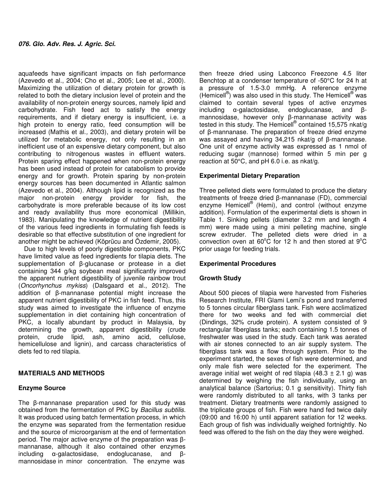aquafeeds have significant impacts on fish performance (Azevedo et al., 2004; Cho et al., 2005; Lee et al., 2000). Maximizing the utilization of dietary protein for growth is related to both the dietary inclusion level of protein and the availability of non-protein energy sources, namely lipid and carbohydrate. Fish feed act to satisfy the energy requirements, and if dietary energy is insufficient, i.e. a high protein to energy ratio, feed consumption will be increased (Mathis et al., 2003), and dietary protein will be utilized for metabolic energy, not only resulting in an inefficient use of an expensive dietary component, but also contributing to nitrogenous wastes in effluent waters. Protein sparing effect happened when non-protein energy has been used instead of protein for catabolism to provide energy and for growth. Protein sparing by non-protein energy sources has been documented in Atlantic salmon (Azevedo et al., 2004). Although lipid is recognized as the major non-protein energy provider for fish, the carbohydrate is more preferable because of its low cost and ready availability thus more economical (Millikin, 1983). Manipulating the knowledge of nutrient digestibility of the various feed ingredients in formulating fish feeds is desirable so that effective substitution of one ingredient for another might be achieved (Köprücu and Özdemir, 2005).

Due to high levels of poorly digestible components, PKC have limited value as feed ingredients for tilapia diets. The supplementation of β-glucanase or protease in a diet containing 344 g/kg soybean meal significantly improved the apparent nutrient digestibility of juvenile rainbow trout (Oncorhynchus mykiss) (Dalsgaard et al., 2012). The addition of β-mannanase potential might increase the apparent nutrient digestibility of PKC in fish feed. Thus, this study was aimed to investigate the influence of enzyme supplementation in diet containing high concentration of PKC, a locally abundant by product in Malaysia, by determining the growth, apparent digestibility (crude protein, crude lipid, ash, amino acid, cellulose, hemicellulose and lignin), and carcass characteristics of diets fed to red tilapia.

# **MATERIALS AND METHODS**

## **Enzyme Source**

The β-mannanase preparation used for this study was obtained from the fermentation of PKC by Bacillus subtilis. It was produced using batch fermentation process, in which the enzyme was separated from the fermentation residue and the source of microorganism at the end of fermentation period. The major active enzyme of the preparation was βmannanase, although it also contained other enzymes including α-galactosidase, endoglucanase, and βmannosidase in minor concentration. The enzyme was

then freeze dried using Labconco Freezone 4.5 liter Benchtop at a condenser temperature of -50°C for 24 h at a pressure of 1.5-3.0 mmHg. A reference enzyme (Hemicell<sup>®</sup>) was also used in this study. The Hemicell<sup>®</sup> was claimed to contain several types of active enzymes including α-galactosidase, endoglucanase, and βmannosidase, however only β-mannanase activity was tested in this study. The Hemicell® contained 15,575 nkat/g of β-mannanase. The preparation of freeze dried enzyme was assayed and having 34,215 nkat/g of β-mannanase. One unit of enzyme activity was expressed as 1 nmol of reducing sugar (mannose) formed within 5 min per g reaction at 50°C, and pH 6.0 i.e. as nkat/g.

# **Experimental Dietary Preparation**

Three pelleted diets were formulated to produce the dietary treatments of freeze dried β-mannanase (FD), commercial enzyme Hemicell<sup>®</sup> (Hemi), and control (without enzyme addition). Formulation of the experimental diets is shown in Table 1. Sinking pellets (diameter 3.2 mm and length 4 mm) were made using a mini pelleting machine, single screw extruder. The pelleted diets were dried in a convection oven at  $60^{\circ}$ C for 12 h and then stored at  $9^{\circ}$ C prior usage for feeding trials.

## **Experimental Procedures**

## **Growth Study**

About 500 pieces of tilapia were harvested from Fisheries Research Institute, FRI Glami Lemi's pond and transferred to 5 tonnes circular fiberglass tank. Fish were acclimatized there for two weeks and fed with commercial diet (Dindings, 32% crude protein). A system consisted of 9 rectangular fiberglass tanks; each containing 1.5 tonnes of freshwater was used in the study. Each tank was aerated with air stones connected to an air supply system. The fiberglass tank was a flow through system. Prior to the experiment started, the sexes of fish were determined, and only male fish were selected for the experiment. The average initial wet weight of red tilapia (48.3  $\pm$  2.1 g) was determined by weighing the fish individually, using an analytical balance (Sartorius; 0.1 g sensitivity). Thirty fish were randomly distributed to all tanks, with 3 tanks per treatment. Dietary treatments were randomly assigned to the triplicate groups of fish. Fish were hand fed twice daily (09:00 and 16:00 h) until apparent satiation for 12 weeks. Each group of fish was individually weighed fortnightly. No feed was offered to the fish on the day they were weighed.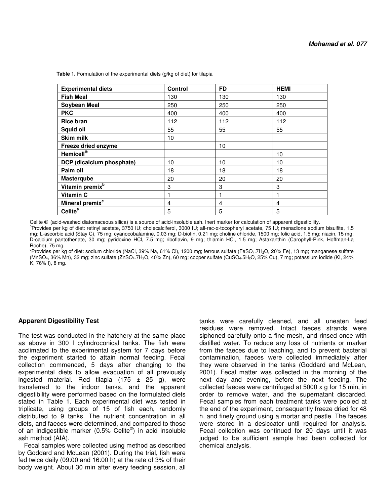| <b>Experimental diets</b>   | <b>Control</b> | <b>FD</b> | <b>HEMI</b> |
|-----------------------------|----------------|-----------|-------------|
| <b>Fish Meal</b>            | 130            | 130       | 130         |
| <b>Soybean Meal</b>         | 250            | 250       | 250         |
| <b>PKC</b>                  | 400            | 400       | 400         |
| <b>Rice bran</b>            | 112            | 112       | 112         |
| Squid oil                   | 55             | 55        | 55          |
| <b>Skim milk</b>            | 10             |           |             |
| Freeze dried enzyme         |                | 10        |             |
| Hemicell®                   |                |           | 10          |
| DCP (dicalcium phosphate)   | 10             | 10        | 10          |
| Palm oil                    | 18             | 18        | 18          |
| <b>Masterqube</b>           | 20             | 20        | 20          |
| Vitamin premix <sup>b</sup> | 3              | 3         | 3           |
| Vitamin C                   | 1              |           |             |
| Mineral premix <sup>c</sup> | 4              | 4         | 4           |
| Celite <sup>a</sup>         | 5              | 5         | 5           |

Table 1. Formulation of the experimental diets (g/kg of diet) for tilapia

Celite ® (acid-washed diatomaceous silica) is a source of acid-insoluble ash. Inert marker for calculation of apparent digestibility.

<sup>b</sup>Provides per kg of diet: retinyl acetate, 3750 IU; cholecalciferol, 3000 IU; all-rac-α-tocopheryl acetate, 75 IU; menadione sodium bisulfite, 1.5 mg; L-ascorbic acid (Stay C), 75 mg; cyanocobalamine, 0.03 mg; D-biotin, 0.21 mg; choline chloride, 1500 mg; folic acid, 1.5 mg; niacin, 15 mg; D-calcium pantothenate, 30 mg; pyridoxine HCl, 7.5 mg; riboflavin, 9 mg; thiamin HCl, 1.5 mg; Astaxanthin (Carophyll-Pink, Hoffman-La Roche), 75 mg.

<sup>c</sup>Provides per kg of diet: sodium chloride (NaCl, 39% Na, 61% Cl), 1200 mg; ferrous sulfate (FeSO<sub>4</sub>.7H<sub>2</sub>O, 20% Fe), 13 mg; manganese sulfate (MnSO4, 36% Mn), 32 mg; zinc sulfate (ZnSO4.7H2O, 40% Zn), 60 mg; copper sulfate (CuSO4.5H2O, 25% Cu), 7 mg; potassium iodide (KI, 24% K, 76% I), 8 mg.

## **Apparent Digestibility Test**

The test was conducted in the hatchery at the same place as above in 300 l cylindroconical tanks. The fish were acclimated to the experimental system for 7 days before the experiment started to attain normal feeding. Fecal collection commenced, 5 days after changing to the experimental diets to allow evacuation of all previously ingested material. Red tilapia  $(175 \pm 25 \text{ g})$ , were transferred to the indoor tanks, and the apparent digestibility were performed based on the formulated diets stated in Table 1. Each experimental diet was tested in triplicate, using groups of 15 of fish each, randomly distributed to 9 tanks. The nutrient concentration in all diets, and faeces were determined, and compared to those of an indigestible marker (0.5% Celite®) in acid insoluble ash method (AIA).

Fecal samples were collected using method as described by Goddard and McLean (2001). During the trial, fish were fed twice daily (09:00 and 16:00 h) at the rate of 3% of their body weight. About 30 min after every feeding session, all

tanks were carefully cleaned, and all uneaten feed residues were removed. Intact faeces strands were siphoned carefully onto a fine mesh, and rinsed once with distilled water. To reduce any loss of nutrients or marker from the faeces due to leaching, and to prevent bacterial contamination, faeces were collected immediately after they were observed in the tanks (Goddard and McLean, 2001). Fecal matter was collected in the morning of the next day and evening, before the next feeding. The collected faeces were centrifuged at 5000 x g for 15 min, in order to remove water, and the supernatant discarded. Fecal samples from each treatment tanks were pooled at the end of the experiment, consequently freeze dried for 48 h, and finely ground using a mortar and pestle. The faeces were stored in a desiccator until required for analysis. Fecal collection was continued for 20 days until it was judged to be sufficient sample had been collected for chemical analysis.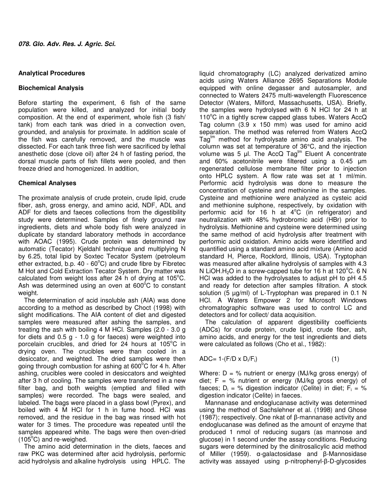# **Analytical Procedures**

# **Biochemical Analysis**

Before starting the experiment, 6 fish of the same population were killed, and analyzed for initial body composition. At the end of experiment, whole fish (3 fish/ tank) from each tank was dried in a convection oven, grounded, and analysis for proximate. In addition scale of the fish was carefully removed, and the muscle was dissected. For each tank three fish were sacrificed by lethal anesthetic dose (clove oil) after 24 h of fasting period, the dorsal muscle parts of fish fillets were pooled, and then freeze dried and homogenized. In addition,

# **Chemical Analyses**

The proximate analysis of crude protein, crude lipid, crude fiber, ash, gross energy, and amino acid, NDF, ADL and ADF for diets and faeces collections from the digestibility study were determined. Samples of finely ground raw ingredients, diets and whole body fish were analyzed in duplicate by standard laboratory methods in accordance with AOAC (1995). Crude protein was determined by automatic (Tecator) Kjeldahl technique and multiplying N by 6.25, total lipid by Soxtec Tecator System (petroleum ether extracted, b.p.  $40 - 60^{\circ}$ C) and crude fibre by Fibretec M Hot and Cold Extraction Tecator System. Dry matter was calculated from weight loss after 24 h of drying at  $105^{\circ}$ C. Ash was determined using an oven at  $600^{\circ}$ C to constant weight.

The determination of acid insoluble ash (AIA) was done according to a method as described by Choct (1998) with slight modifications. The AIA content of diet and digested samples were measured after ashing the samples, and treating the ash with boiling 4 M HCl. Samples (2.0 - 3.0 g for diets and 0.5 g - 1.0 g for faeces) were weighted into porcelain crucibles, and dried for 24 hours at  $105^{\circ}$ C in drying oven. The crucibles were than cooled in a desiccator, and weighted. The dried samples were then going through combustion for ashing at  $600^{\circ}$ C for 4 h. After ashing, crucibles were cooled in desiccators and weighted after 3 h of cooling. The samples were transferred in a new filter bag, and both weights (emptied and filled with samples) were recorded. The bags were sealed, and labeled. The bags were placed in a glass bowl (Pyrex), and boiled with 4 M HCl for 1 h in fume hood. HCl was removed, and the residue in the bag was rinsed with hot water for 3 times. The procedure was repeated until the samples appeared white. The bags were then oven-dried  $(105^{\circ}C)$  and re-weighed.

The amino acid determination in the diets, faeces and raw PKC was determined after acid hydrolysis, performic acid hydrolysis and alkaline hydrolysis using HPLC. The

liquid chromatography (LC) analyzed derivatized amino acids using Waters Alliance 2695 Separations Module equipped with online degasser and autosampler, and connected to Waters 2475 multi-wavelength Fluorescence Detector (Waters, Milford, Massachusetts, USA). Briefly, the samples were hydrolysed with 6 N HCl for 24 h at 110 $\mathrm{^{\circ}C}$  in a tightly screw capped glass tubes. Waters AccQ Tag column (3.9 x 150 mm) was used for amino acid separation. The method was referred from Waters AccQ  $Taq^{tm}$  method for hydrolysate amino acid analysis. The column was set at temperature of 36°C, and the injection volume was 5 µl. The AccQ Tag<sup>tm</sup> Eluent A concentrate and 60% acetonitrile were filtered using a 0.45 µm regenerated cellulose membrane filter prior to injection onto HPLC system. A flow rate was set at 1 ml/min. Performic acid hydrolysis was done to measure the concentration of cysteine and methionine in the samples. Cysteine and methionine were analyzed as cysteic acid and methionine sulphone, respectively, by oxidation with performic acid for 16 h at  $4^{\circ}$ C (in refrigerator) and neutralization with 48% hydrobromic acid (HBr) prior to hydrolysis. Methionine and cysteine were determined using the same method of acid hydrolysis after treatment with performic acid oxidation. Amino acids were identified and quantified using a standard amino acid mixture (Amino acid standard H, Pierce, Rockford, Illinois, USA). Tryptophan was measured after alkaline hydrolysis of samples with 4.3 N LiOH.H<sub>2</sub>O in a screw-capped tube for 16 h at 120 $^{\circ}$ C. 6 N HCl was added to the hydrolysates to adjust pH to pH 4.5 and ready for detection after samples filtration. A stock solution (5 µg/ml) of L-Tryptophan was prepared in 0.1 N HCl. A Waters Empower 2 for Microsoft Windows chromatographic software was used to control LC and detectors and for collect/ data acquisition.

The calculation of apparent digestibility coefficients (ADCs) for crude protein, crude lipid, crude fiber, ash, amino acids, and energy for the test ingredients and diets were calculated as follows (Cho et al., 1982):

$$
ADC = 1 - (F/D \times D_i/F_i)
$$
 (1)

Where:  $D = \%$  nutrient or energy (MJ/kg gross energy) of diet;  $F = %$  nutrient or energy (MJ/kg gross energy) of faeces;  $D_i = %$  digestion indicator (Celite) in diet;  $F_i = %$ digestion indicator (Celite) in faeces.

Mannanase and endoglucanase activity was determined using the method of Sachslehner et al. (1998) and Ghose (1987); respectively. One nkat of β-mannanase activity and endoglucanase was defined as the amount of enzyme that produced 1 nmol of reducing sugars (as mannose and glucose) in 1 second under the assay conditions. Reducing sugars were determined by the dinitrosalicylic acid method of Miller (1959). α-galactosidase and β-Mannosidase activity was assayed using p-nitrophenyl-β-D-glycosides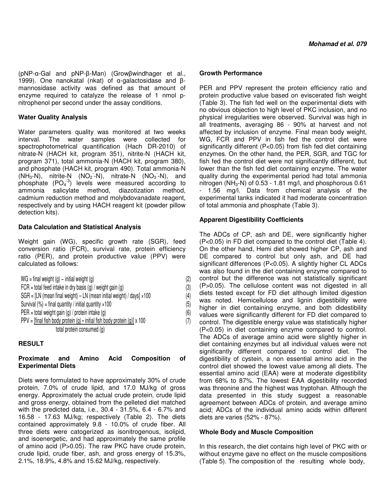(pNP-α-Gal and pNP-β-Man) (Growβwindhager et al., 1999). One nanokatal (nkat) of α-galactosidase and βmannosidase activity was defined as that amount of enzyme required to catalyze the release of 1 nmol pnitrophenol per second under the assay conditions.

# **Water Quality Analysis**

Water parameters quality was monitored at two weeks interval. The water samples were collected for spectrophotometrical quantification (Hach DR-2010) of nitrate-N (HACH kit, program 351), nitrite-N (HACH kit, program 371), total ammonia-N (HACH kit, program 380), and phosphate (HACH kit, program 490). Total ammonia-N  $(NH_3-N)$ , nitrite-N  $(NO_2-N)$ , nitrate-N  $(NO_3-N)$ , and phosphate  $(PO<sub>4</sub><sup>-3</sup>)$  levels were measured according to ammonia salicylate method, diazotization method, cadmium reduction method and molybdovanadate reagent, respectively and by using HACH reagent kit (powder pillow detection kits).

# **Data Calculation and Statistical Analysis**

Weight gain (WG), specific growth rate (SGR), feed conversion ratio (FCR), survival rate, protein efficiency ratio (PER), and protein productive value (PPV) were calculated as follows:

| $WG = final weight(q) - initial weight(q)$                                       | (2) |  |
|----------------------------------------------------------------------------------|-----|--|
| FCR = total feed intake in dry basis (g) / weight gain (g)                       | (3) |  |
| $SGR = [LN (mean final weight) - LN (mean initial weight) / days] \times 100$    | (4) |  |
| Survival $(\%)$ = final quantity / initial quantity $\times 100$                 | (5) |  |
| PER = total weight gain (g) / protein intake (g)                                 | (6) |  |
| PPV = [final fish body protein (g) - initial fish body protein (g)] $\times$ 100 |     |  |
| total protein consumed (q)                                                       |     |  |

# **RESULT**

#### **Proximate and Amino Acid Composition of Experimental Diets**

Diets were formulated to have approximately 30% of crude protein, 7.0% of crude lipid, and 17.0 MJ/kg of gross energy. Approximately the actual crude protein, crude lipid and gross energy, obtained from the pelleted diet matched with the predicted data, i.e., 30.4 - 31.5%, 6.4 - 6.7% and 16.58 - 17.63 MJ/kg; respectively (Table 2). The diets contained approximately 9.8 - 10.0% of crude fiber. All three diets were catogerized as isonitrogenous, isolipid, and isoenergetic, and had approximately the same profile of amino acid (P>0.05). The raw PKC have crude protein, crude lipid, crude fiber, ash, and gross energy of 15.3%, 2.1%, 18.9%, 4.8% and 15.62 MJ/kg, respectively.

# **Growth Performance**

PER and PPV represent the protein efficiency ratio and protein productive value based on eviscerated fish weight (Table 3). The fish fed well on the experimental diets with no obvious objection to high level of PKC inclusion, and no physical irregularities were observed. Survival was high in all treatments, averaging 86 - 90% at harvest and not affected by inclusion of enzyme. Final mean body weight, WG, FCR and PPV in fish fed the control diet were significantly different (P<0.05) from fish fed diet containing enzymes. On the other hand, the PER, SGR, and TGC for fish fed the control diet were not significantly different, but lower than the fish fed diet containing enzyme. The water quality during the experimental period had total ammonia nitrogen ( $NH<sub>3</sub>-N$ ) of 0.53 - 1.81 mg/l, and phosphorous 0.61 - 1.56 mg/l. Data from chemical analysis of the experimental tanks indicated it had moderate concentration of total ammonia and phosphate (Table 3).

# **Apparent Digestibility Coefficients**

The ADCs of CP, ash and DE, were significantly higher (P<0.05) in FD diet compared to the control diet (Table 4). On the other hand, Hemi diet showed higher CP, ash and DE compared to control but only ash, and DE had significant differences (P<0.05). A slightly higher CL ADCs was also found in the diet containing enzyme compared to control but the difference was not statistically significant (P>0.05). The cellulose content was not digested in all diets tested except for FD diet although limited digestion was noted. Hemicellulose and lignin digestibility were higher in diet containing enzyme, and both didestibility values were significantly different for FD diet compared to control. The digestible energy value was statistically higher (P<0.05) in diet containing enzyme compared to control. The ADCs of average amino acid were slightly higher in diet containing enzymes but all individual values were not significantly different compared to control diet. The digestibility of cystein, a non essential amino acid in the control diet showed the lowest value among all diets. The essential amino acid (EAA) were at moderate digestibility from 68% to 87%. The lowest EAA digestibility recorded was threonine and the highest was tryptohan. Although the data presented in this study suggest a reasonable agreement between ADCs of protein, and average amino acid; ADCs of the individual amino acids within different diets are varies (52% - 87%).

## **Whole Body and Muscle Composition**

In this research, the diet contains high level of PKC with or without enzyme gave no effect on the muscle compositions (Table 5). The composition of the resulting whole body,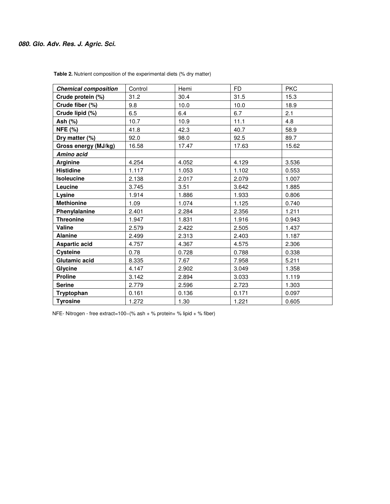# **080. Glo. Adv. Res. J. Agric. Sci.**

| <b>Chemical composition</b> | Control | Hemi  | <b>FD</b> | <b>PKC</b> |
|-----------------------------|---------|-------|-----------|------------|
| Crude protein (%)           | 31.2    | 30.4  | 31.5      | 15.3       |
| Crude fiber (%)             | 9.8     | 10.0  | 10.0      | 18.9       |
| Crude lipid (%)             | 6.5     | 6.4   | 6.7       | 2.1        |
| Ash (%)                     | 10.7    | 10.9  | 11.1      | 4.8        |
| <b>NFE (%)</b>              | 41.8    | 42.3  | 40.7      | 58.9       |
| Dry matter (%)              | 92.0    | 98.0  | 92.5      | 89.7       |
| Gross energy (MJ/kg)        | 16.58   | 17.47 | 17.63     | 15.62      |
| Amino acid                  |         |       |           |            |
| <b>Arginine</b>             | 4.254   | 4.052 | 4.129     | 3.536      |
| <b>Histidine</b>            | 1.117   | 1.053 | 1.102     | 0.553      |
| <b>Isoleucine</b>           | 2.138   | 2.017 | 2.079     | 1.007      |
| Leucine                     | 3.745   | 3.51  | 3.642     | 1.885      |
| Lysine                      | 1.914   | 1.886 | 1.933     | 0.806      |
| <b>Methionine</b>           | 1.09    | 1.074 | 1.125     | 0.740      |
| Phenylalanine               | 2.401   | 2.284 | 2.356     | 1.211      |
| <b>Threonine</b>            | 1.947   | 1.831 | 1.916     | 0.943      |
| Valine                      | 2.579   | 2.422 | 2.505     | 1.437      |
| <b>Alanine</b>              | 2.499   | 2.313 | 2.403     | 1.187      |
| <b>Aspartic acid</b>        | 4.757   | 4.367 | 4.575     | 2.306      |
| <b>Cysteine</b>             | 0.78    | 0.728 | 0.788     | 0.338      |
| Glutamic acid               | 8.335   | 7.67  | 7.958     | 5.211      |
| Glycine                     | 4.147   | 2.902 | 3.049     | 1.358      |
| <b>Proline</b>              | 3.142   | 2.894 | 3.033     | 1.119      |
| <b>Serine</b>               | 2.779   | 2.596 | 2.723     | 1.303      |
| Tryptophan                  | 0.161   | 0.136 | 0.171     | 0.097      |
| <b>Tyrosine</b>             | 1.272   | 1.30  | 1.221     | 0.605      |

 **Table 2.** Nutrient composition of the experimental diets (% dry matter)

NFE- Nitrogen - free extract=100−(% ash + % protein+ % lipid + % fiber)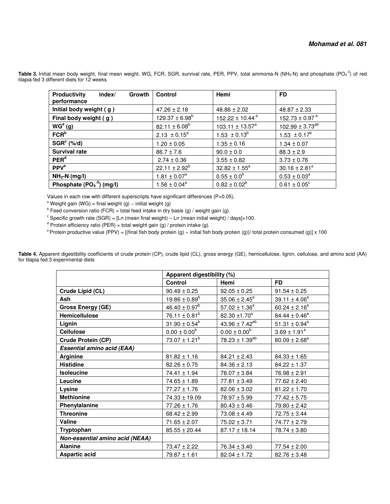| <b>Productivity</b><br>index/<br>Growth<br>performance | <b>Control</b>      | Hemi                         | <b>FD</b>                      |
|--------------------------------------------------------|---------------------|------------------------------|--------------------------------|
| Initial body weight (g)                                | $47.26 \pm 2.18$    | $48.86 \pm 2.02$             | $48.87 \pm 2.33$               |
| Final body weight (g)                                  | $129.37 \pm 6.98^b$ | 152.22 ± 10.44 $a$           | 152.73 $\pm$ 0.97 <sup>a</sup> |
| WG <sup>a</sup> (g)                                    | $82.11 \pm 6.08^b$  | $103.11 \pm 13.57^a$         | $102.99 \pm 3.73^{ab}$         |
| FCR <sup>b</sup>                                       | $2.13 \pm 0.15^a$   | 1.53 $\pm$ 0.13 <sup>b</sup> | 1.53 $\pm$ 0.17 <sup>b</sup>   |
| $SGR^c$ (%/d)                                          | $1.20 \pm 0.05$     | $1.35 \pm 0.16$              | $1.34 \pm 0.07$                |
| <b>Survival rate</b>                                   | $86.7 \pm 7.6$      | $90.0 \pm 0.0$               | $88.3 \pm 2.9$                 |
| PER <sup>d</sup>                                       | $2.74 \pm 0.36$     | $3.55 \pm 0.82$              | $3.73 \pm 0.76$                |
| PPV <sup>e</sup>                                       | $22.11 \pm 2.92^b$  | $32.82 \pm 1.55^a$           | $30.16 \pm 2.81^a$             |
| $NH3-N$ (mg/l)                                         | $1.81 \pm 0.07^a$   | $0.55 \pm 0.0^b$             | $0.53 \pm 0.03^a$              |
| Phosphate $(PO4-3)$ (mg/l)                             | $1.56 \pm 0.04^a$   | $0.82 \pm 0.02^b$            | $0.61 \pm 0.05^{\circ}$        |

Table 3. Initial mean body weight, final mean weight, WG, FCR, SGR, survival rate, PER, PPV, total ammonia-N (NH<sub>3</sub>-N) and phosphate (PO<sub>4</sub><sup>-3</sup>) of red tilapia fed 3 different diets for 12 weeks

Values in each row with different superscripts have significant differences (P<0.05).

<sup>a</sup> Weight gain (WG) = final weight (g) – initial weight (g)

 $b$  Feed conversion ratio (FCR) = total feed intake in dry basis (g) / weight gain (g).

<sup>c</sup> Specific growth rate (SGR) = [Ln (mean final weight) – Ln (mean initial weight) / days]×100.

<sup>d</sup> Protein efficiency ratio (PER) = total weight gain (g) / protein intake (g).

 $e^p$  Protein productive value (PPV) = [(final fish body protein (g) – initial fish body protein (g))/ total protein consumed (g)] x 100

|                                   | Apparent digestibility (%) |                          |                    |  |
|-----------------------------------|----------------------------|--------------------------|--------------------|--|
|                                   | <b>Control</b>             | Hemi                     | <b>FD</b>          |  |
| Crude Lipid (CL)                  | $90.49 \pm 0.25$           | $92.05 \pm 0.25$         | $91.54 \pm 0.25$   |  |
| <b>Ash</b>                        | $19.86 \pm 0.89^b$         | $35.06 \pm 2.45^a$       | $39.11 \pm 4.06^a$ |  |
| <b>Gross Energy (GE)</b>          | $46.40 \pm 0.97^b$         | $57.02 \pm 1.36^a$       | $60.24 \pm 2.16^a$ |  |
| Hemicellulose                     | $76.11 \pm 0.81^b$         | 82.30 ±1.70 <sup>a</sup> | $84.44 \pm 0.46^a$ |  |
| Lignin                            | $31.90 \pm 0.54^b$         | $43.96 \pm 7.42^{ab}$    | $51.31 \pm 0.94^a$ |  |
| <b>Cellulose</b>                  | $0.00 \pm 0.00^b$          | $0.00 \pm 0.00^b$        | $3.69 \pm 1.91^a$  |  |
| Crude Protein (CP)                | $73.07 \pm 1.21^b$         | $78.23 \pm 1.39^{ab}$    | $80.09 \pm 2.68^a$ |  |
| <b>Essential amino acid (EAA)</b> |                            |                          |                    |  |
| <b>Arginine</b>                   | $81.82 \pm 1.16$           | $84.21 \pm 2.43$         | $84.33 \pm 1.65$   |  |
| <b>Histidine</b>                  | $82.26 \pm 0.75$           | $84.36 \pm 2.13$         | $84.22 \pm 1.37$   |  |
| <b>Isoleucine</b>                 | $74.41 \pm 1.94$           | $78.07 \pm 3.84$         | $76.98 \pm 2.91$   |  |
| Leucine                           | $74.65 \pm 1.89$           | $77.81 \pm 3.49$         | $77.62 \pm 2.40$   |  |
| Lysine                            | $77.27 \pm 1.76$           | $82.06 \pm 3.02$         | $81.22 \pm 1.70$   |  |
| <b>Methionine</b>                 | $74.33 \pm 19.09$          | $78.97 \pm 5.99$         | $77.42 \pm 5.75$   |  |
| Phenylalanine                     | $77.26 \pm 1.76$           | $80.43 \pm 3.46$         | $79.80 \pm 2.42$   |  |
| <b>Threonine</b>                  | $68.42 \pm 2.99$           | $73.08 \pm 4.49$         | $72.75 \pm 3.44$   |  |
| Valine                            | $71.65 \pm 2.07$           | $75.02 \pm 3.71$         | $74.77 \pm 2.79$   |  |
| Tryptophan                        | $85.55 \pm 20.44$          | $87.17 \pm 18.14$        | $78.74 \pm 3.80$   |  |
| Non-essential amino acid (NEAA)   |                            |                          |                    |  |
| <b>Alanine</b>                    | $73.47 \pm 2.22$           | $76.34 \pm 3.40$         | $77.54 \pm 2.00$   |  |
| <b>Aspartic acid</b>              | $79.87 \pm 1.61$           | $82.04 \pm 1.72$         | $82.76 \pm 3.48$   |  |

**Table 4.** Apparent digestibility coefficients of crude protein (CP), crude lipid (CL), gross energy (GE), hemicellulose, lignin, cellulose, and amino acid (AA) for tilapia fed 3 experimental diets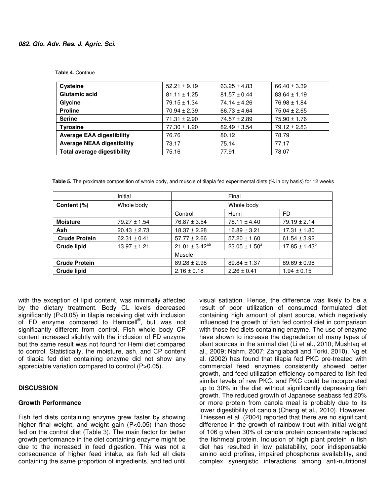| <b>Cysteine</b>                   | $52.21 \pm 9.19$ | $63.25 \pm 4.83$ | $66.40 \pm 3.39$ |
|-----------------------------------|------------------|------------------|------------------|
| <b>Glutamic acid</b>              | $81.11 \pm 1.25$ | $81.57 \pm 0.44$ | $83.64 \pm 1.19$ |
| Glycine                           | $79.15 \pm 1.34$ | $74.14 \pm 4.26$ | $76.98 \pm 1.84$ |
| <b>Proline</b>                    | $70.94 \pm 2.39$ | $66.73 \pm 4.64$ | $75.04 \pm 2.65$ |
| <b>Serine</b>                     | $71.31 \pm 2.90$ | $74.57 \pm 2.89$ | $75.90 \pm 1.76$ |
| <b>Tyrosine</b>                   | $77.30 \pm 1.20$ | $82.49 \pm 3.54$ | $79.12 \pm 2.83$ |
| <b>Average EAA digestibility</b>  | 76.76            | 80.12            | 78.79            |
| <b>Average NEAA digestibility</b> | 73.17            | 75.14            | 77.17            |
| Total average digestibility       | 75.16            | 77.91            | 78.07            |

 **Table 5.** The proximate composition of whole body, and muscle of tilapia fed experimental diets (% in dry basis) for 12 weeks

|                      | Initial          | Final                 |                    |                    |
|----------------------|------------------|-----------------------|--------------------|--------------------|
| Content (%)          | Whole body       | Whole body            |                    |                    |
|                      |                  | Control               | Hemi               | FD                 |
| <b>Moisture</b>      | 79.27 ± 1.54     | $76.87 \pm 3.54$      | $78.11 \pm 4.40$   | $79.19 \pm 2.14$   |
| Ash                  | $20.43 \pm 2.73$ | $18.37 \pm 2.28$      | $16.89 \pm 3.21$   | $17.31 \pm 1.80$   |
| <b>Crude Protein</b> | $62.31 \pm 0.41$ | $57.77 \pm 2.66$      | $57.20 \pm 1.60$   | $61.54 \pm 3.92$   |
| <b>Crude lipid</b>   | $13.97 \pm 1.21$ | $21.01 \pm 3.42^{ab}$ | $23.05 \pm 1.50^a$ | $17.85 \pm 1.43^b$ |
|                      |                  | Muscle                |                    |                    |
| <b>Crude Protein</b> |                  | $89.28 \pm 2.98$      | $89.84 \pm 1.37$   | $89.69 \pm 0.98$   |
| <b>Crude lipid</b>   |                  | $2.16 \pm 0.18$       | $2.26 \pm 0.41$    | $1.94 \pm 0.15$    |

with the exception of lipid content, was minimally affected by the dietary treatment. Body CL levels decreased significantly (P<0.05) in tilapia receiving diet with inclusion of FD enzyme compared to Hemicell<sup>®</sup>, but was not significantly different from control. Fish whole body CP content increased slightly with the inclusion of FD enzyme but the same result was not found for Hemi diet compared to control. Statistically, the moisture, ash, and CP content of tilapia fed diet containing enzyme did not show any appreciable variation compared to control (P>0.05).

## **DISCUSSION**

#### **Growth Performance**

Fish fed diets containing enzyme grew faster by showing higher final weight, and weight gain (P<0.05) than those fed on the control diet (Table 3). The main factor for better growth performance in the diet containing enzyme might be due to the increased in feed digestion. This was not a consequence of higher feed intake, as fish fed all diets containing the same proportion of ingredients, and fed until

visual satiation. Hence, the difference was likely to be a result of poor utilization of consumed formulated diet containing high amount of plant source, which negatively influenced the growth of fish fed control diet in comparison with those fed diets containing enzyme. The use of enzyme have shown to increase the degradation of many types of plant sources in the animal diet (Li et al., 2010; Mushtaq et al., 2009; Nahm, 2007; Zangiabadi and Torki, 2010). Ng et al. (2002) has found that tilapia fed PKC pre-treated with commercial feed enzymes consistently showed better growth, and feed utilization efficiency compared to fish fed similar levels of raw PKC, and PKC could be incorporated up to 30% in the diet without significantly depressing fish growth. The reduced growth of Japanese seabass fed 20% or more protein from canola meal is probably due to its lower digestibility of canola (Cheng et al., 2010). However, Thiessen et al. (2004) reported that there are no significant difference in the growth of rainbow trout with initial weight of 106 g when 30% of canola protein concentrate replaced the fishmeal protein. Inclusion of high plant protein in fish diet has resulted in low palatability, poor indispensable amino acid profiles, impaired phosphorus availability, and complex synergistic interactions among anti-nutritional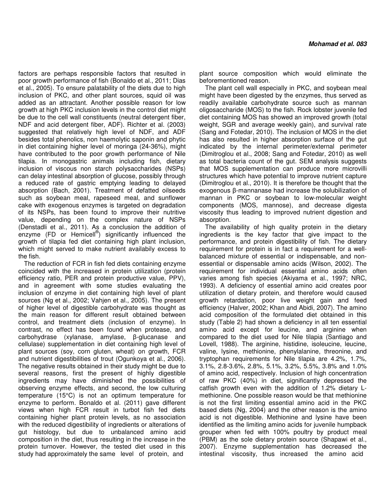factors are perhaps responsible factors that resulted in poor growth performance of fish (Bonaldo et al., 2011; Dias et al., 2005). To ensure palatability of the diets due to high inclusion of PKC, and other plant sources, squid oil was added as an attractant. Another possible reason for low growth at high PKC inclusion levels in the control diet might be due to the cell wall constituents (neutral detergent fiber, NDF and acid detergent fiber, ADF). Richter et al. (2003) suggested that relatively high level of NDF, and ADF besides total phenolics, non haemolytic saponin and phytic in diet containing higher level of moringa (24-36%), might have contributed to the poor growth performance of Nile tilapia. In monogastric animals including fish, dietary inclusion of viscous non starch polysaccharides (NSPs) can delay intestinal absorption of glucose, possibly through a reduced rate of gastric emptying leading to delayed absorption (Bach, 2001). Treatment of defatted oilseeds such as soybean meal, rapeseed meal, and sunflower cake with exogenous enzymes is targeted on degradation of its NSPs, has been found to improve their nutritive value, depending on the complex nature of NSPs (Denstadli et al., 2011). As a conclusion the addition of enzyme (FD or Hemicell<sup>®</sup>) significantly influenced the growth of tilapia fed diet containing high plant inclusion, which might served to make nutrient availabily excess to the fish.

The reduction of FCR in fish fed diets containing enzyme coincided with the increased in protein utilization (protein efficiency ratio, PER and protein productive value, PPV), and in agreement with some studies evaluating the inclusion of enzyme in diet containing high level of plant sources (Ng et al., 2002; Vahjen et al., 2005). The present of higher level of digestible carbohydrate was thought as the main reason for different result obtained between control, and treatment diets (inclusion of enzyme). In contrast, no effect has been found when protease, and carbohydrase (xylanase, amylase, β-glucanase and cellulase) supplementation in diet containing high level of plant sources (soy, corn gluten, wheat) on growth, FCR and nutrient digestibilities of trout (Ogunkoya et al., 2006). The negative results obtained in their study might be due to several reasons, first the present of highly digestible ingredients may have diminished the possibilities of observing enzyme effects, and second, the low culturing temperature (15°C) is not an optimum temperature for enzyme to perform. Bonaldo et al. (2011) gave different views when high FCR result in turbot fish fed diets containing higher plant protein levels, as no association with the reduced digestibility of ingredients or alterations of gut histology, but due to unbalanced amino acid composition in the diet, thus resulting in the increase in the protein turnover. However, the tested diet used in this study had approximately the same level of protein, and

plant source composition which would eliminate the beforementioned reason.

The plant cell wall especially in PKC, and soybean meal might have been digested by the enzymes, thus served as readily available carbohydrate source such as mannan oligosaccharide (MOS) to the fish. Rock lobster juvenile fed diet containing MOS has showed an improved growth (total weight, SGR and average weekly gain), and survival rate (Sang and Fotedar, 2010). The inclusion of MOS in the diet has also resulted in higher absorption surface of the gut indicated by the internal perimeter/external perimeter (Dimitroglou et al., 2008; Sang and Fotedar, 2010) as well as total bacteria count of the gut. SEM analysis suggests that MOS supplementation can produce more microvilli structures which have potential to improve nutrient capture (Dimitroglou et al., 2010). It is therefore be thought that the exogenous β-mannanase had increase the solubilization of mannan in PKC or soybean to low-molecular weight components (MOS, mannose), and decrease digesta viscosity thus leading to improved nutrient digestion and absorption.

The availability of high quality protein in the dietary ingredients is the key factor that give impact to the performance, and protein digestibility of fish. The dietary requirement for protein is in fact a requirement for a wellbalanced mixture of essential or indispensable, and nonessential or dispensable amino acids (Wilson, 2002). The requirement for individual essential amino acids often varies among fish species (Akiyama et al., 1997; NRC, 1993). A deficiency of essential amino acid creates poor utilization of dietary protein, and therefore would caused growth retardation, poor live weight gain and feed efficiency (Halver, 2002; Khan and Abidi, 2007). The amino acid composition of the formulated diet obtained in this study (Table 2) had shown a deficiency in all ten essential amino acid except for leucine, and arginine when compared to the diet used for Nile tilapia (Santiago and Lovell, 1988). The arginine, histidine, isoleucine, leucine, valine, lysine, methionine, phenylalanine, threonine, and tryptophan requirements for Nile tilapia are 4.2%, 1.7%, 3.1%, 2.8-3.6%, 2.8%, 5.1%, 3.2%, 5.5%, 3.8% and 1.0% of amino acid, respectively. Inclusion of high concentration of raw PKC (40%) in diet, significantly depressed the catfish growth even with the addition of 1.2% dietary Lmethionine. One possible reason would be that methionine is not the first limiting essential amino acid in the PKC based diets (Ng, 2004) and the other reason is the amino acid is not digestible. Methionine and lysine have been identified as the limiting amino acids for juvenile humpback grouper when fed with 100% poultry by product meal (PBM) as the sole dietary protein source (Shapawi et al., 2007). Enzyme supplementation has decreased the intestinal viscosity, thus increased the amino acid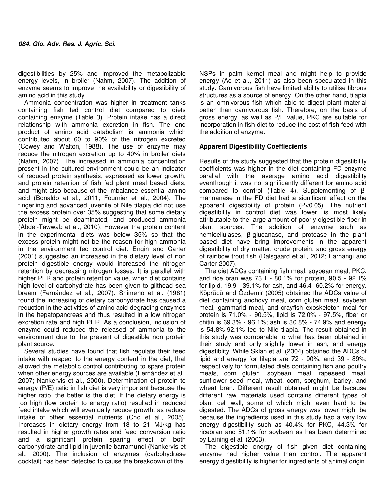digestibilities by 25% and improved the metabolizable energy levels, in broiler (Nahm, 2007). The addition of enzyme seems to improve the availability or digestibility of amino acid in this study.

Ammonia concentration was higher in treatment tanks containing fish fed control diet compared to diets containing enzyme (Table 3). Protein intake has a direct relationship with ammonia excretion in fish. The end product of amino acid catabolism is ammonia which contributed about 60 to 90% of the nitrogen excreted (Cowey and Walton, 1988). The use of enzyme may reduce the nitrogen excretion up to 40% in broiler diets (Nahm, 2007). The increased in ammonia concentration present in the cultured environment could be an indicator of reduced protein synthesis, expressed as lower growth, and protein retention of fish fed plant meal based diets, and might also because of the imbalance essential amino acid (Bonaldo et al., 2011; Fournier et al., 2004). The fingerling and advanced juvenile of Nile tilapia did not use the excess protein over 35% suggesting that some dietary protein might be deaminated, and produced ammonia (Abdel-Tawwab et al., 2010). However the protein content in the experimental diets was below 35% so that the excess protein might not be the reason for high ammonia in the environment fed control diet. Engin and Carter (2001) suggested an increased in the dietary level of non protein digestible energy would increased the nitrogen retention by decreasing nitrogen losses. It is parallel with higher PER and protein retention value, when diet contains high level of carbohydrate has been given to gilthead sea bream (Fernández et al., 2007). Shimeno et al. (1981) found the increasing of dietary carbohydrate has caused a reduction in the activities of amino acid-degrading enzymes in the hepatopancreas and thus resulted in a low nitrogen excretion rate and high PER. As a conclusion, inclusion of enzyme could reduced the released of ammonia to the environment due to the present of digestible non protein plant source.

Several studies have found that fish regulate their feed intake with respect to the energy content in the diet, that allowed the metabolic control contributing to spare protein when other energy sources are available (Fernández et al., 2007; Nankervis et al., 2000). Determination of protein to energy (P/E) ratio in fish diet is very important because the higher ratio, the better is the diet. If the dietary energy is too high (low protein to energy ratio) resulted in reduced feed intake which will eventually reduce growth, as reduce intake of other essential nutrients (Cho et al., 2005). Increases in dietary energy from 18 to 21 MJ/kg has resulted in higher growth rates and feed conversion ratio and a significant protein sparing effect of both carbohydrate and lipid in juvenile barramundi (Nankervis et al., 2000). The inclusion of enzymes (carbohydrase cocktail) has been detected to cause the breakdown of the

NSPs in palm kernel meal and might help to provide energy (Ao et al., 2011) as also been speculated in this study. Carnivorous fish have limited ability to utilise fibrous structures as a source of energy. On the other hand, tilapia is an omnivorous fish which able to digest plant material better than carnivorous fish. Therefore, on the basis of gross energy, as well as P/E value, PKC are suitable for incorporation in fish diet to reduce the cost of fish feed with the addition of enzyme.

# **Apparent Digestibility Coeffiecients**

Results of the study suggested that the protein digestibility coefficients was higher in the diet containing FD enzyme parallel with the average amino acid digestibility eventhough it was not significantly different for amino acid compared to control (Table 4). Supplementing of βmannanase in the FD diet had a significant effect on the apparent digestibility of protein (P<0.05). The nutrient digestibility in control diet was lower, is most likely attributable to the large amount of poorly digestible fiber in plant sources. The addition of enzyme such as hemicellulases, β-glucanase, and protease in the plant based diet have bring improvements in the apparent digestibility of dry matter, crude protein, and gross energy of rainbow trout fish (Dalsgaard et al., 2012; Farhangi and Carter 2007).

The diet ADCs containing fish meal, soybean meal, PKC, and rice bran was 73.1 - 80.1% for protein, 90.5 - 92.1% for lipid, 19.9 - 39.1% for ash, and 46.4 -60.2% for energy. Köprücü and Özdemir (2005) obtained the ADCs value of diet containing anchovy meal, corn gluten meal, soybean meal, gammarid meal, and crayfish exoskeleton meal for protein is 71.0% - 90.5%, lipid is 72.0% - 97.5%, fiber or chitin is 69.3% - 96.1%; ash is 30.8% - 74.9% and energy is 54.8%-92.1% fed to Nile tilapia. The result obtained in this study was comparable to what has been obtained in their study and only slightly lower in ash, and energy digestiblity. While Sklan et al. (2004) obtained the ADCs of lipid and energy for tilapia are 72 - 90%, and 39 - 89%; respectively for formulated diets containing fish and poultry meals, corn gluten, soybean meal, rapeseed meal, sunflower seed meal, wheat, corn, sorghum, barley, and wheat bran. Different result obtained might be because different raw materials used contains different types of plant cell wall, some of which might even hard to be digested. The ADCs of gross energy was lower might be because the ingredients used in this study had a very low energy digestibility such as 40.4% for PKC, 44.3% for ricebran and 51.1% for soybean as has been determined by Laining et al. (2003).

The digestible energy of fish given diet containing enzyme had higher value than control. The apparent energy digestibility is higher for ingredients of animal origin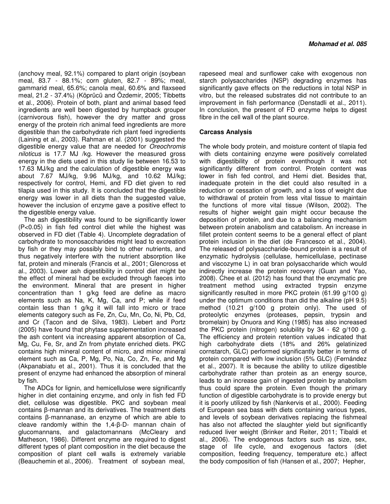(anchovy meal, 92.1%) compared to plant origin (soybean meal, 83.7 - 88.1%; corn gluten, 82.7 - 89%; meal, gammarid meal, 65.6%; canola meal, 60.6% and flaxseed meal, 21.2 - 37.4%) (Köprücü and Özdemir, 2005; Tibbetts et al., 2006). Protein of both, plant and animal based feed ingredients are well been digested by humpback grouper (carnivorous fish), however the dry matter and gross energy of the protein rich animal feed ingredients are more digestible than the carbohydrate rich plant feed ingredients (Laining et al., 2003). Rahman et al. (2001) suggested the digestible energy value that are needed for Oreochromis niloticus is 17.7 MJ /kg. However the measured gross energy in the diets used in this study lie between 16.53 to 17.63 MJ/kg and the calculation of digestible energy was about 7.67 MJ/kg, 9.96 MJ/kg, and 10.62 MJ/kg; respectively for control, Hemi, and FD diet given to red tilapia used in this study. It is concluded that the digestible energy was lower in all diets than the suggested value, however the inclusion of enzyme gave a positive effect to the digestible energy value.

The ash digestibility was found to be significantly lower (P<0.05) in fish fed control diet while the highest was observed in FD diet (Table 4). Uncomplete degradation of carbohydrate to monosaccharides might lead to excreation by fish or they may possibly bind to other nutrients, and thus negatively interfere with the nutrient absorption like fat, protein and minerals (Francis et al., 2001; Glencross et al., 2003). Lower ash digestibility in control diet might be the effect of mineral had be excluded through faeces into the environment. Mineral that are present in higher concentration than 1 g/kg feed are define as macro elements such as Na, K, Mg, Ca, and P; while if feed contain less than 1 g/kg it will fall into micro or trace elements category such as Fe, Zn, Cu, Mn, Co, Ni, Pb, Cd, and Cr (Tacon and de Silva, 1983). Liebert and Portz (2005) have found that phytase supplementation increased the ash content via increasing apparent absorption of Ca, Mg, Cu, Fe, Sr, and Zn from phytate enriched diets. PKC contains high mineral content of micro, and minor mineral element such as Ca, P, Mg, Po, Na, Co, Zn, Fe, and Mg (Akpanabiatu et al., 2001). Thus it is concluded that the present of enzyme had enhanced the absorption of mineral by fish.

The ADCs for lignin, and hemicellulose were significantly higher in diet containing enzyme, and only in fish fed FD diet, cellulose was digestible. PKC and soybean meal contains β-mannan and its derivatives. The treatment diets contains β-mannanase, an enzyme of which are able to cleave randomly within the 1,4-β-D- mannan chain of glucomannans, and galactomannans (McCleary and Matheson, 1986). Different enzyme are required to digest different types of plant composition in the diet because the composition of plant cell walls is extremely variable (Beauchemin et al., 2006). Treatment of soybean meal,

rapeseed meal and sunflower cake with exogenous non starch polysaccharides (NSP) degrading enzymes has significantly gave effects on the reductions in total NSP in vitro, but the released substrates did not contribute to an improvement in fish performance (Denstadli et al., 2011). In conclusion, the present of FD enzyme helps to digest fibre in the cell wall of the plant source.

## **Carcass Analysis**

The whole body protein, and moisture content of tilapia fed with diets containing enzyme were positively correlated with digestibility of protein eventhough it was not significantly different from control. Protein content was lower in fish fed control, and Hemi diet. Besides that, inadequate protein in the diet could also resulted in a reduction or cessation of growth, and a loss of weight due to withdrawal of protein from less vital tissue to maintain the functions of more vital tissue (Wilson, 2002). The results of higher weight gain might occur because the deposition of protein, and due to a balancing mechanism between protein anabolism and catabolism. An increase in fillet protein content seems to be a general effect of plant protein inclusion in the diet (de Francesco et al., 2004). The released of polysaccharide-bound protein is a result of enzymatic hydrolysis (cellulase, hemicellulase, pectinase and viscozyme L) in oat bran polysaccharide which would indirectly increase the protein recovery (Guan and Yao, 2008). Chee et al. (2012) has found that the enzymatic pre treatment method using extracted trypsin enzyme significantly resulted in more PKC protein (61.99 g/100 g) under the optimum conditions than did the alkaline (pH 9.5) method (10.21 g/100 g protein only). The used of proteolytic enzymes (proteases, pepsin, trypsin and bromelain) by Onuora and King (1985) has also increased the PKC protein (nitrogen) solubility by 34 - 62 g/100 g. The efficiency and protein retention values indicated that high carbohydrate diets (18% and 26% gelatinized cornstarch, GLC) performed significantly better in terms of protein compared with low inclusion (5% GLC) (Fernández et al., 2007). It is because the ability to utilize digestible carbohydrate rather than protein as an energy source, leads to an increase gain of ingested protein by anabolism thus could spare the protein. Even though the primary function of digestible carbohydrate is to provide energy but it is poorly utilized by fish (Nankervis et al., 2000). Feeding of European sea bass with diets containing various types, and levels of soybean derivatives replacing the fishmeal has also not affected the slaughter yield but significantly reduced liver weight (Brinker and Reiter, 2011; Tibaldi et al., 2006). The endogenous factors such as size, sex, stage of life cycle, and exogenous factors (diet composition, feeding frequency, temperature etc.) affect the body composition of fish (Hansen et al., 2007; Hepher,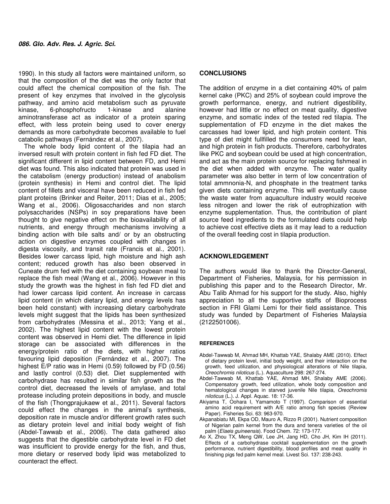1990). In this study all factors were maintained uniform, so that the composition of the diet was the only factor that could affect the chemical composition of the fish. The present of key enzymes that involved in the glycolysis pathway, and amino acid metabolism such as pyruvate kinase, 6-phosphofructo 1-kinase and alanine aminotransferase act as indicator of a protein sparing effect, with less protein being used to cover energy demands as more carbohydrate becomes available to fuel catabolic pathways (Fernández et al., 2007).

The whole body lipid content of the tilapia had an inversed result with protein content in fish fed FD diet. The significant different in lipid content between FD, and Hemi diet was found. This also indicated that protein was used in the catabolism (energy production) instead of anabolism (protein synthesis) in Hemi and control diet. The lipid content of fillets and visceral have been reduced in fish fed plant proteins (Brinker and Reiter, 2011; Dias et al., 2005; Wang et al., 2006). Oligosaccharides and non starch polysaccharides (NSPs) in soy preparations have been thought to give negative effect on the bioavailability of all nutrients, and energy through mechanisms involving a binding action with bile salts and/ or by an obstructing action on digestive enzymes coupled with changes in digesta viscosity, and transit rate (Francis et al., 2001). Besides lower carcass lipid, high moisture and high ash content; reduced growth has also been observed in Cuneate drum fed with the diet containing soybean meal to replace the fish meal (Wang et al., 2006). However in this study the growth was the highest in fish fed FD diet and had lower carcass lipid content. An increase in carcass lipid content (in which dietary lipid, and energy levels has been held constant) with increasing dietary carbohydrate levels might suggest that the lipids has been synthesized from carbohydrates (Messina et al., 2013; Yang et al., 2002). The highest lipid content with the lowest protein content was observed in Hemi diet. The difference in lipid storage can be associated with differences in the energy/protein ratio of the diets, with higher ratios favouring lipid deposition (Fernández et al., 2007). The highest E/P ratio was in Hemi (0.59) followed by FD (0.56) and lastly control (0.53) diet. Diet supplemented with carbohydrase has resulted in similar fish growth as the control diet, decreased the levels of amylase, and total protease including protein depositions in body, and muscle of the fish (Thongprajukaew et al., 2011). Several factors could effect the changes in the animal's synthesis, deposition rate in muscle and/or different growth rates such as dietary protein level and initial body weight of fish (Abdel-Tawwab et al., 2006). The data gathered also suggests that the digestible carbohydrate level in FD diet was insufficient to provide energy for the fish, and thus, more dietary or reserved body lipid was metabolized to counteract the effect.

### **CONCLUSIONS**

The addition of enzyme in a diet containing 40% of palm kernel cake (PKC) and 25% of soybean could improve the growth performance, energy, and nutrient digestibility, however had little or no effect on meat quality, digestive enzyme, and somatic index of the tested red tilapia. The supplementation of FD enzyme in the diet makes the carcasses had lower lipid, and high protein content. This type of diet might fullfilled the consumers need for lean, and high protein in fish products. Therefore, carbohydrates like PKC and soybean could be used at high concentration, and act as the main protein source for replacing fishmeal in the diet when added with enzyme. The water quality parameter was also better in term of low concentration of total ammnonia-N, and phosphate in the treatment tanks given diets containing enzyme. This will eventually cause the waste water from aquaculture industry would receive less nitrogen and lower the risk of eutrophization with enzyme supplementation. Thus, the contribution of plant source feed ingredients to the formulated diets could help to achieve cost effective diets as it may lead to a reduction of the overall feeding cost in tilapia production.

#### **ACKNOWLEDGEMENT**

The authors would like to thank the Director-General, Department of Fisheries, Malaysia, for his permission in publishing this paper and to the Research Director, Mr. Abu Talib Ahmad for his support for the study. Also, highly appreciation to all the supportive staffs of Bioprocess section in FRI Glami Lemi for their field assistance. This study was funded by Department of Fisheries Malaysia (2122501006).

#### **REFERENCES**

- Abdel-Tawwab M, Ahmad MH, Khattab YAE, Shalaby AME (2010). Effect of dietary protein level, initial body weight, and their interaction on the growth, feed utilization, and physiological alterations of Nile tilapia, Oreochromis niloticus (L.). Aquaculture 298: 267-274.
- Abdel-Tawwab M, Khattab YAE, Ahmad MH, Shalaby AME (2006). Compensatory growth, feed utilization, whole body composition and hematological changes in starved juvenile Nile tilapia, Oreochromis niloticus (L.). J. Appl. Aquac. 18: 17-36.
- Akiyama T, Oohara I, Yamamoto T (1997). Comparison of essential amino acid requirement with A/E ratio among fish species (Review Paper). Fisheries Sci. 63: 963-970.
- Akpanabiatu MI, Ekpa OD, Mauro A, Rizzo R (2001). Nutrient composition of Nigerian palm kernel from the dura and tenera varieties of the oil palm (Elaeis guineensis). Food Chem. 72: 173-177.
- Ao X, Zhou TX, Meng QW, Lee JH, Jang HD, Cho JH, Kim IH (2011). Effects of a carbohydrase cocktail supplementation on the growth performance, nutrient digestibility, blood profiles and meat quality in finishing pigs fed palm kernel meal. Livest Sci. 137: 238-243.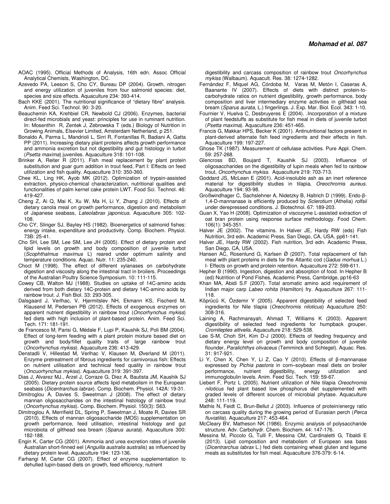- AOAC (1995). Official Methods of Analysis, 16th edn. Assoc Official Analytical Chemists, Washington, DC.
- Azevedo PA, Leeson S, Cho CY, Bureau DP (2004). Growth, nitrogen and energy utilization of juveniles from four salmonid species: diet, species and size effects. Aquaculture 234: 393-414.
- Bach KKE (2001). The nutritional significance of "dietary fibre" analysis. Anim. Feed Sci. Technol. 90: 3-20.
- Beauchemin KA, Krehbiel CR, Newbold CJ (2006). Enzymes, bacterial direct-fed microbials and yeast: principles for use in ruminant nutrition. In: Mosenthin R, Zentek J, Zebrowska T (eds.) Biology of Nutrition in Growing Animals, Elsevier Limited, Amsterdam Netherland, p 251.
- Bonaldo A, Parma L, Mandrioli L, Sirri R, Fontanillas R, Badiani A, Gatta PP (2011). Increasing dietary plant proteins affects growth performance and ammonia excretion but not digestibility and gut histology in turbot (Psetta maxima) juveniles. Aquaculture 318: 101-108.
- Brinker A, Reiter R (2011). Fish meal replacement by plant protein substitution and guar gum addition in trout feed, Part I: Effects on feed utilization and fish quality. Aquaculture 310: 350-360.
- Chee KL, Ling HK, Ayob MK (2012). Optimization of trypsin-assisted extraction, physico-chemical characterization, nutritional qualities and functionalities of palm kernel cake protein LWT. Food Sci. Technol. 46: 419-427.
- Cheng Z, Ai Q, Mai K, Xu W, Ma H, Li Y, Zhang J (2010). Effects of dietary canola meal on growth performance, digestion and metabolism of Japanese seabass, Lateolabrax japonicus. Aquaculture 305: 102- 108.
- Cho CY, Slinger SJ, Bayley HS (1982). Bioenergetics of salmonid fishes: energy intake, expenditure and productivity. Comp. Biochem. Physiol. 73B: 25-41.
- Cho SH, Lee SM, Lee SM, Lee JH (2005). Effect of dietary protein and lipid levels on growth and body composition of juvenile turbot (Scophthalmus maximus L) reared under optimum salinity and temperature conditions. Aquac. Nutr. 11: 235-240.
- Choct M (1998). The effect of different xylanases on carbohydrate digestion and viscosity along the intestinal tract in broilers. Proceedings of the Australian Poultry Science Symposium. 10: 111-115.
- Cowey CB, Walton MJ (1988). Studies on uptake of 14C-amino acids derived from both dietary 14C-protein and dietary 14C-amino acids by rainbow trout. J. Fish Biol. 33: 293-305.
- Dalsgaard J, Verlhac, V, Hjermitslev NH, Ekmann KS, Fischerd M, Klausend M, Pedersen PB (2012). Effects of exogenous enzymes on apparent nutrient digestibility in rainbow trout (Oncorhynchus mykiss) fed diets with high inclusion of plant-based protein. Anim. Feed Sci. Tech. 171: 181-191.
- de Francesco M, Parisi G, Médale F, Lupi P, Kaushik SJ, Poli BM (2004). Effect of long-term feeding with a plant protein mixture based diet on growth and body/fillet quality traits of large rainbow trout (Oncorhynchus mykiss). Aquaculture 236: 413-429.
- Denstadli V, Hillestad M, Verlhac V, Klausen M, Øverland M (2011). Enzyme pretreatment of fibrous ingredients for carnivorous fish: Effects on nutrient utilisation and technical feed quality in rainbow trout (Oncuorhynchus mykiss). Aquaculture 319: 391-397.
- Dias J, Alvarez MJ., Arzel J, Corraze G, Diez A, Bautista JM, Kaushik SJ (2005). Dietary protein source affects lipid metabolism in the European seabass (Dicentrarchus labrax). Comp. Biochem. Physiol. 142A: 19-31.
- Dimitroglou A, Davies S, Sweetman J (2008). The effect of dietary mannan oligosaccharides on the intestinal histology of rainbow trout (Oncorhynchus mykiss). Comp. Biochem. Physiol. 150(3): S63.
- Dimitroglou A, Merrifield DL, Spring P, Sweetman J, Moate R, Davies SR (2010). Effects of mannan oligosaccharide (MOS) supplementation on growth performance, feed utilisation, intestinal histology and gut microbiota of gilthead sea bream (Sparus aurata). Aquaculture 300: 182-188.
- Engin K, Carter CG (2001). Ammonia and urea excretion rates of juvenile Australian short-finned eel (Anguilla australis australis) as influenced by dietary protein level. Aquaculture 194: 123-136.
- Farhangi M, Carter CG (2007). Effect of enzyme supplementation to dehulled lupin-based diets on growth, feed efficiency, nutrient

 digestibility and carcass composition of rainbow trout Oncorhynchus mykiss (Walbaum). Aquacult. Res. 38: 1274-1282.

- Fernández F, Miquel AG, Córdoba M, Varas M, Metón I, Caseras A, Baanante IV (2007). Effects of diets with distinct protein-tocarbohydrate ratios on nutrient digestibility, growth performance, body composition and liver intermediary enzyme activities in gilthead sea bream (Sparus aurata, L.) fingerlings. J. Exp. Mar. Biol. Ecol. 343: 1-10.
- Fournier V, Huelva C, Desbruyeres E (2004). .Incorporation of a mixture of plant feedstuffs as substitute for fish meal in diets of juvenile turbot (Psetta maxima). Aquaculture 236: 451-465.
- Francis G, Makkar HPS, Becker K (2001). Antinutritional factors present in plant-derived alternate fish feed ingredients and their effects in fish. Aquaculture 199: 197-227.
- Ghose TK (1987). Measurement of cellulase activities. Pure Appl. Chem. 59: 257-268.
- Glencross BD, Boujard T, Kaushik SJ (2003). Influence of oligosaccharides on the digestibility of lupin meals when fed to rainbow trout, Oncorhynchus mykiss. Aquaculture 219: 703-713.
- Goddard JS, McLean E (2001). Acid-insoluble ash as an inert reference material for digestibility studies in tilapia, Oreochromis aureus. Aquaculture 194: 93-98.
- Großwindhager C, Sachslehner A, Nidetzky B, Haltrich D (1999). Endo-β-1,4-D-mannanase is efficiently produced by Sclerotium (Athelia) rolfsii under derepressed conditions. J. Biotechnol. 67: 189-203.
- Guan X, Yao H (2008). Optimization of viscozyme L-assisted extraction of oat bran protein using response surface methodology. Food Chem. 106(1): 345-351.
- Halver JE (2002). The vitamins. In Halver JE, Hardy RW (eds) Fish Nutrition, 3rd edn. Academic Press, San Diego, CA, USA, pp61-141.
- Halver JE, Hardy RW (2002). Fish nutrition, 3rd edn. Academic Press, San Diego, CA, USA.
- Hansen AC, Rosenlund G, Karlsen  $\varnothing$  (2007). Total replacement of fish meal with plant proteins in diets for the Atlantic cod (Gadus morhua L.) I- Effects on growth and protein retention. Aquaculture 272: 599-611.
- Hepher B (1990). Ingestion, digestion and absorption of food. In Hepher B (ed) Nutrition of Pond Fishes, Academic Press, Cambridge, pp16-63
- Khan MA, Abidi S.F (2007). Total aromatic amino acid requirement of Indian major carp Labeo rohita (Hamilton) fry. Aquaculture 267: 111- 118.
- Köprücü K, Özdemir Y (2005). Apparent digestibility of selected feed ingredients for Nile tilapia (Oreochromis niloticus) Aquaculture 250: 308-316.
- Laining A, Rachmansyah, Ahmad T, Williams K (2003). Apparent digestibility of selected feed ingredients for humpback grouper, Cromileptes altivelis. Aquaculture 218: 529-538.
- Lee S-M, Choh SH, Kim D-J (2000). Effects of feeding frequency and dietary energy level on growth and body composition of juvenile flounder, Paralichthys olivaceus (Temminck and Schlegel). Aquac. Res. 31: 917-921.
- Li Y, Chen X, Chen Y, Li Z, Cao Y (2010). Effects of β-mannanase expressed by Pichia pastoris in corn–soybean meal diets on broiler<br>performance, nutrient digestibility, energy utilization and performance, nutrient digestibility, energy utilization and immunoglobulin levels. Anim. Feed Sci. Tech. 159: 59-67.
- Liebert F, Portz L (2005). Nutrient utilization of Nile tilapia Oreochromis niloticus fed plant based low phosphorus diet supplemented with graded levels of different sources of microbial phytase. Aquaculture 248: 111-119.
- Mathis N, Feidt C, Brun-Bellut J (2003). Influence of protein/energy ratio on carcass quality during the growing period of Eurasian perch (Perca fluviatilis). Aquaculture 217: 453-464.
- McCleary BV, Matheson NK (1986). Enzymic analysis of polysaccharide structure. Adv. Carbohydr. Chem. Biochem. 44: 147-176.
- Messina M, Piccolo G, Tulli F, Messina CM, Cardinaletti G, Tibaldi E (2013). Lipid composition and metabolism of European sea bass (Dicentrarchus labrax L.) fed diets containing wheat gluten and legume meals as substitutes for fish meal. Aquaculture 376-379: 6-14.